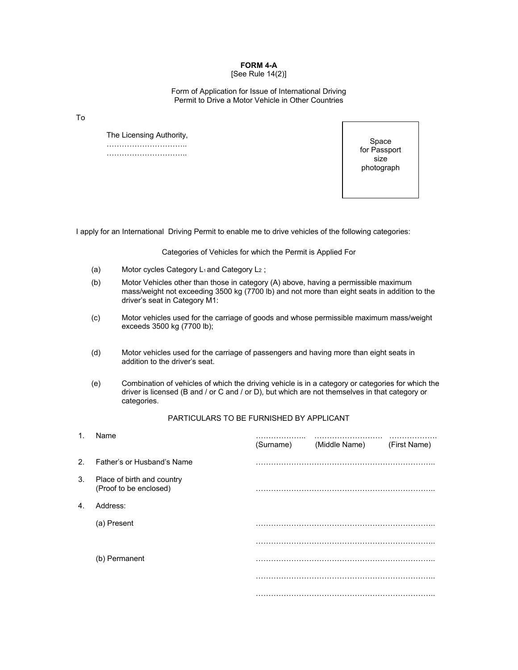## **FORM 4-A**

## [See Rule 14(2)]

## Form of Application for Issue of International Driving Permit to Drive a Motor Vehicle in Other Countries

To

 The Licensing Authority, ………………………….. …………………………..

Space for Passport size photograph

I apply for an International Driving Permit to enable me to drive vehicles of the following categories:

Categories of Vehicles for which the Permit is Applied For

- (a) Motor cycles Category  $L_1$  and Category  $L_2$ ;
- (b) Motor Vehicles other than those in category (A) above, having a permissible maximum mass/weight not exceeding 3500 kg (7700 lb) and not more than eight seats in addition to the driver's seat in Category M1:
- (c) Motor vehicles used for the carriage of goods and whose permissible maximum mass/weight exceeds 3500 kg (7700 lb);
- (d) Motor vehicles used for the carriage of passengers and having more than eight seats in addition to the driver's seat.
- (e) Combination of vehicles of which the driving vehicle is in a category or categories for which the driver is licensed (B and / or C and / or D), but which are not themselves in that category or categories.

## PARTICULARS TO BE FURNISHED BY APPLICANT

| 1.             | Name                                                 | .<br>(Surname) (Middle Name) | (First Name) |
|----------------|------------------------------------------------------|------------------------------|--------------|
| 2 <sup>2</sup> | Father's or Husband's Name                           |                              |              |
| 3.             | Place of birth and country<br>(Proof to be enclosed) |                              |              |
| 4.             | Address:                                             |                              |              |
|                | (a) Present                                          |                              |              |
|                |                                                      |                              |              |
|                | (b) Permanent                                        |                              |              |
|                |                                                      |                              |              |
|                |                                                      |                              |              |